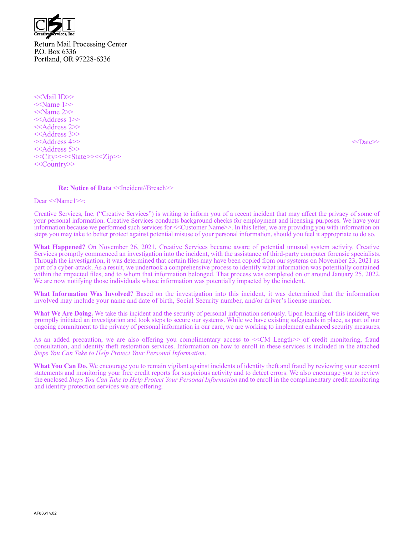

Return Mail Processing Center P.O. Box 6336 Portland, OR 97228-6336

<<Mail ID>> <<Name 1>> <<Name 2>> <<Address 1>> <<Address 2>> <<Address 3>> <<Address 4>> <<Date>> <<Address 5>> <<City>><<State>><<Zip>> <<Country>>

#### **Re: Notice of Data** << Incident//Breach>>

Dear <<Name1>>:

Creative Services, Inc. ("Creative Services") is writing to inform you of a recent incident that may affect the privacy of some of your personal information. Creative Services conducts background checks for employment and licensing purposes. We have your information because we performed such services for <<Customer Name>>. In this letter, we are providing you with information on steps you may take to better protect against potential misuse of your personal information, should you feel it appropriate to do so.

What Happened? On November 26, 2021, Creative Services became aware of potential unusual system activity. Creative Services promptly commenced an investigation into the incident, with the assistance of third-party computer forensic specialists. Through the investigation, it was determined that certain files may have been copied from our systems on November 23, 2021 as part of a cyber-attack. As a result, we undertook a comprehensive process to identify what information was potentially contained within the impacted files, and to whom that information belonged. That process was completed on or around January 25, 2022. We are now notifying those individuals whose information was potentially impacted by the incident.

**What Information Was Involved?** Based on the investigation into this incident, it was determined that the information involved may include your name and date of birth, Social Security number, and/or driver's license number.

**What We Are Doing.** We take this incident and the security of personal information seriously. Upon learning of this incident, we promptly initiated an investigation and took steps to secure our systems. While we have existing safeguards in place, as part of our ongoing commitment to the privacy of personal information in our care, we are working to implement enhanced security measures.

As an added precaution, we are also offering you complimentary access to <<CM Length>> of credit monitoring, fraud consultation, and identity theft restoration services. Information on how to enroll in these services is included in the attached *Steps You Can Take to Help Protect Your Personal Information*.

**What You Can Do.** We encourage you to remain vigilant against incidents of identity theft and fraud by reviewing your account statements and monitoring your free credit reports for suspicious activity and to detect errors. We also encourage you to review the enclosed *Steps You Can Take to Help Protect Your Personal Information* and to enroll in the complimentary credit monitoring and identity protection services we are offering*.*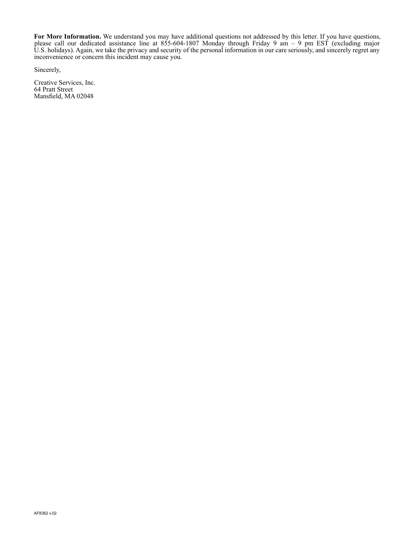**For More Information.** We understand you may have additional questions not addressed by this letter. If you have questions, please call our dedicated assistance line at 855-604-1807 Monday through Friday 9 am – 9 pm EST (excluding major U.S. holidays). Again, we take the privacy and security of the personal information in our care seriously, and sincerely regret any inconvenience or concern this incident may cause you.

Sincerely,

Creative Services, Inc. 64 Pratt Street Mansfield, MA 02048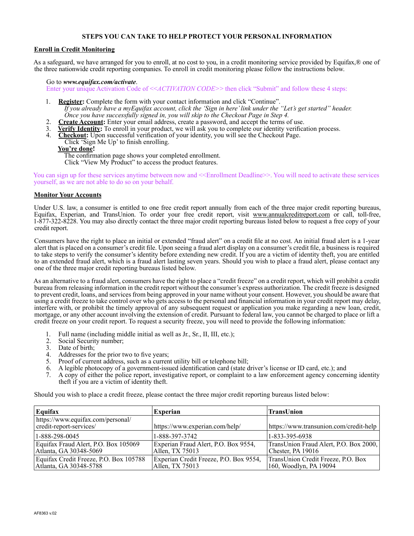# **STEPS YOU CAN TAKE TO HELP PROTECT YOUR PERSONAL INFORMATION**

## **Enroll in Credit Monitoring**

As a safeguard, we have arranged for you to enroll, at no cost to you, in a credit monitoring service provided by Equifax,® one of the three nationwide credit reporting companies. To enroll in credit monitoring please follow the instructions below.

#### Go to *www.equifax.com/activate*.

Enter your unique Activation Code of <<*ACTIVATION CODE>*> then click "Submit" and follow these 4 steps:

- 1. **Register:** Complete the form with your contact information and click "Continue". *If you already have a myEquifax account, click the 'Sign in here' link under the "Let's get started" header. Once you have successfully signed in, you will skip to the Checkout Page in Step 4.*
- 2. Create Account: Enter your email address, create a password, and accept the terms of use.
- 3. **Verify Identity:** To enroll in your product, we will ask you to complete our identity verification process.
- 4. **Checkout:** Upon successful verification of your identity, you will see the Checkout Page.
- Click 'Sign Me Up' to finish enrolling.

#### **You're done!**

The confirmation page shows your completed enrollment. Click "View My Product" to access the product features.

You can sign up for these services anytime between now and <<Enrollment Deadline>>. You will need to activate these services yourself, as we are not able to do so on your behalf.

#### **Monitor Your Accounts**

Under U.S. law, a consumer is entitled to one free credit report annually from each of the three major credit reporting bureaus, Equifax, Experian, and TransUnion. To order your free credit report, visit www.annualcreditreport.com or call, toll-free, 1-877-322-8228. You may also directly contact the three major credit reporting bureaus listed below to request a free copy of your credit report.

Consumers have the right to place an initial or extended "fraud alert" on a credit file at no cost. An initial fraud alert is a 1-year alert that is placed on a consumer's credit file. Upon seeing a fraud alert display on a consumer's credit file, a business is required to take steps to verify the consumer's identity before extending new credit. If you are a victim of identity theft, you are entitled to an extended fraud alert, which is a fraud alert lasting seven years. Should you wish to place a fraud alert, please contact any one of the three major credit reporting bureaus listed below.

As an alternative to a fraud alert, consumers have the right to place a "credit freeze" on a credit report, which will prohibit a credit bureau from releasing information in the credit report without the consumer's express authorization. The credit freeze is designed to prevent credit, loans, and services from being approved in your name without your consent. However, you should be aware that using a credit freeze to take control over who gets access to the personal and financial information in your credit report may delay, interfere with, or prohibit the timely approval of any subsequent request or application you make regarding a new loan, credit, mortgage, or any other account involving the extension of credit. Pursuant to federal law, you cannot be charged to place or lift a credit freeze on your credit report. To request a security freeze, you will need to provide the following information:

- 1. Full name (including middle initial as well as Jr., Sr., II, III, etc.);<br>2. Social Security number:
- Social Security number;
- 3. Date of birth;
- 4. Addresses for the prior two to five years;
- 5. Proof of current address, such as a current utility bill or telephone bill;
- 6. A legible photocopy of a government-issued identification card (state driver's license or ID card, etc.); and
- 7. A copy of either the police report, investigative report, or complaint to a law enforcement agency concerning identity theft if you are a victim of identity theft.

Should you wish to place a credit freeze, please contact the three major credit reporting bureaus listed below:

| Equifax                                                          | <b>Experian</b>                                           | TransUnion                                                   |
|------------------------------------------------------------------|-----------------------------------------------------------|--------------------------------------------------------------|
| https://www.equifax.com/personal/<br>credit-report-services      | https://www.experian.com/help/                            | https://www.transunion.com/credit-help                       |
| 1-888-298-0045                                                   | 1-888-397-3742                                            | 1-833-395-6938                                               |
| Equifax Fraud Alert, P.O. Box 105069<br>Atlanta, GA 30348-5069   | Experian Fraud Alert, P.O. Box 9554,<br>Allen, TX 75013   | TransUnion Fraud Alert, P.O. Box 2000,<br>Chester, PA 19016  |
| Equifax Credit Freeze, P.O. Box 105788<br>Atlanta, GA 30348-5788 | Experian Credit Freeze, P.O. Box 9554,<br>Allen, TX 75013 | TransUnion Credit Freeze, P.O. Box<br>160, Woodlyn, PA 19094 |